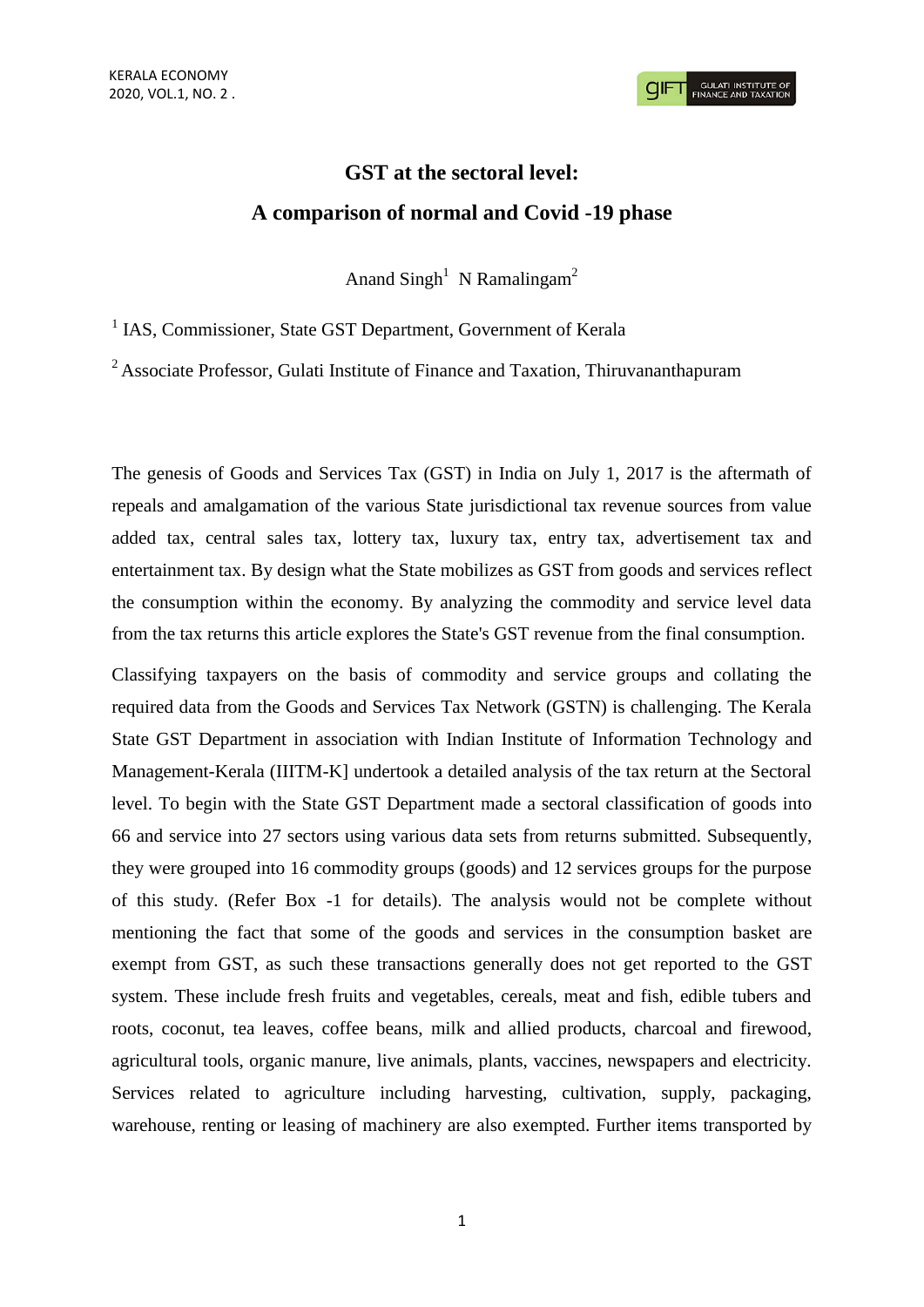# **GST at the sectoral level: A comparison of normal and Covid -19 phase**

Anand  $\text{Singh}^1$  N Ramalingam<sup>2</sup>

<sup>1</sup> IAS, Commissioner, State GST Department, Government of Kerala

 $2$  Associate Professor, Gulati Institute of Finance and Taxation, Thiruvananthapuram

The genesis of Goods and Services Tax (GST) in India on July 1, 2017 is the aftermath of repeals and amalgamation of the various State jurisdictional tax revenue sources from value added tax, central sales tax, lottery tax, luxury tax, entry tax, advertisement tax and entertainment tax. By design what the State mobilizes as GST from goods and services reflect the consumption within the economy. By analyzing the commodity and service level data from the tax returns this article explores the State's GST revenue from the final consumption.

Classifying taxpayers on the basis of commodity and service groups and collating the required data from the Goods and Services Tax Network (GSTN) is challenging. The Kerala State GST Department in association with Indian Institute of Information Technology and Management-Kerala (IIITM-K] undertook a detailed analysis of the tax return at the Sectoral level. To begin with the State GST Department made a sectoral classification of goods into 66 and service into 27 sectors using various data sets from returns submitted. Subsequently, they were grouped into 16 commodity groups (goods) and 12 services groups for the purpose of this study. (Refer Box -1 for details). The analysis would not be complete without mentioning the fact that some of the goods and services in the consumption basket are exempt from GST, as such these transactions generally does not get reported to the GST system. These include fresh fruits and vegetables, cereals, meat and fish, edible tubers and roots, coconut, tea leaves, coffee beans, milk and allied products, charcoal and firewood, agricultural tools, organic manure, live animals, plants, vaccines, newspapers and electricity. Services related to agriculture including harvesting, cultivation, supply, packaging, warehouse, renting or leasing of machinery are also exempted. Further items transported by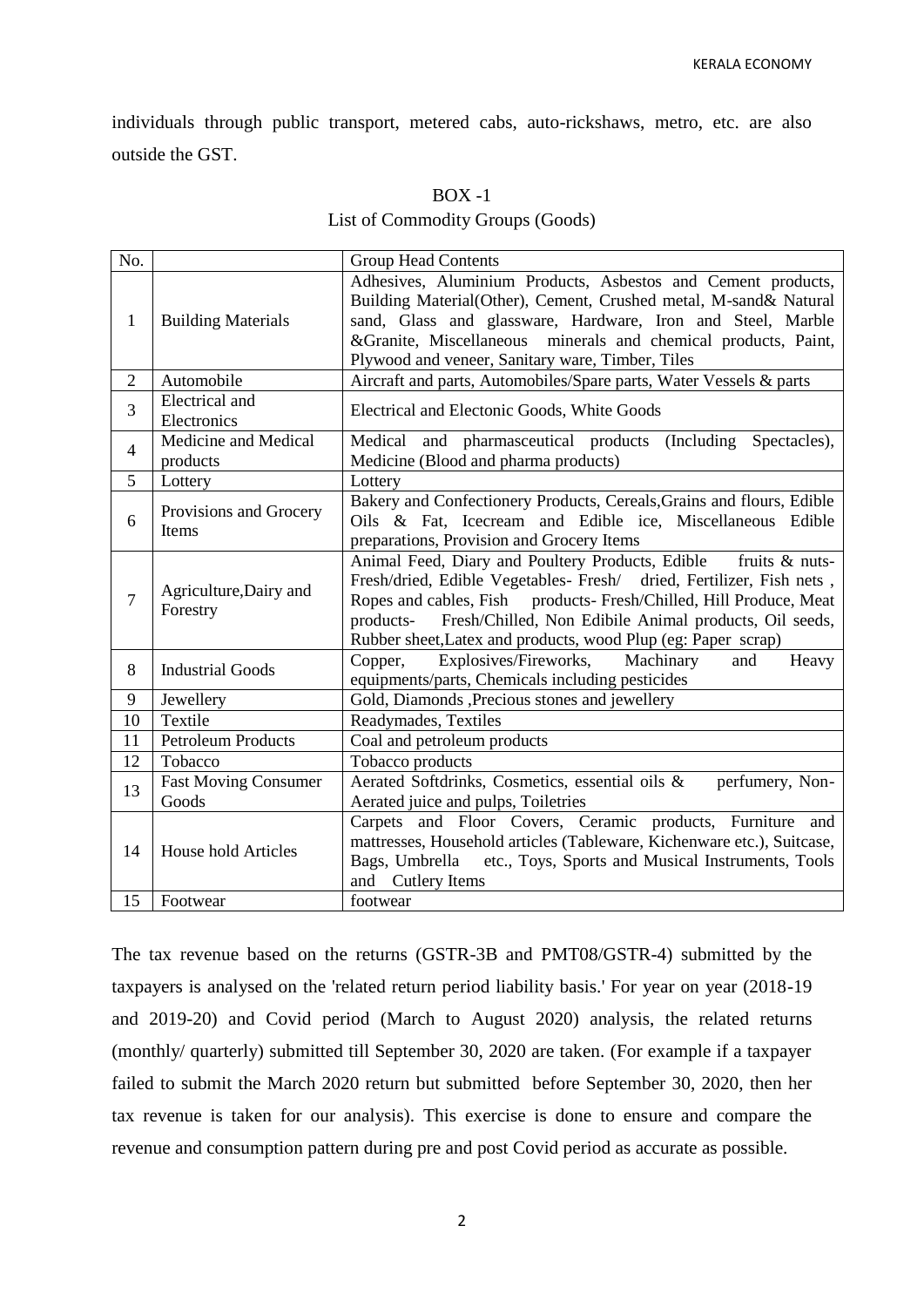individuals through public transport, metered cabs, auto-rickshaws, metro, etc. are also outside the GST.

## $BOX -1$

## List of Commodity Groups (Goods)

| No.            |                                      | <b>Group Head Contents</b>                                                                                                                                                                                                                                                                                                                               |
|----------------|--------------------------------------|----------------------------------------------------------------------------------------------------------------------------------------------------------------------------------------------------------------------------------------------------------------------------------------------------------------------------------------------------------|
| 1              | <b>Building Materials</b>            | Adhesives, Aluminium Products, Asbestos and Cement products,<br>Building Material(Other), Cement, Crushed metal, M-sand& Natural<br>sand, Glass and glassware, Hardware, Iron and Steel, Marble<br>&Granite, Miscellaneous minerals and chemical products, Paint,<br>Plywood and veneer, Sanitary ware, Timber, Tiles                                    |
| $\overline{2}$ | Automobile                           | Aircraft and parts, Automobiles/Spare parts, Water Vessels & parts                                                                                                                                                                                                                                                                                       |
| 3              | Electrical and<br>Electronics        | Electrical and Electonic Goods, White Goods                                                                                                                                                                                                                                                                                                              |
| $\overline{4}$ | Medicine and Medical<br>products     | Medical and pharmasceutical products (Including Spectacles),<br>Medicine (Blood and pharma products)                                                                                                                                                                                                                                                     |
| 5              | Lottery                              | Lottery                                                                                                                                                                                                                                                                                                                                                  |
| 6              | Provisions and Grocery<br>Items      | Bakery and Confectionery Products, Cereals, Grains and flours, Edible<br>Oils & Fat, Icecream and Edible ice, Miscellaneous Edible<br>preparations, Provision and Grocery Items                                                                                                                                                                          |
| 7              | Agriculture, Dairy and<br>Forestry   | Animal Feed, Diary and Poultery Products, Edible<br>fruits & nuts-<br>Fresh/dried, Edible Vegetables- Fresh/ dried, Fertilizer, Fish nets,<br>Ropes and cables, Fish products- Fresh/Chilled, Hill Produce, Meat<br>Fresh/Chilled, Non Edibile Animal products, Oil seeds,<br>products-<br>Rubber sheet, Latex and products, wood Plup (eg: Paper scrap) |
| 8              | <b>Industrial Goods</b>              | Explosives/Fireworks,<br>Machinary<br>Copper,<br>Heavy<br>and<br>equipments/parts, Chemicals including pesticides                                                                                                                                                                                                                                        |
| 9              | Jewellery                            | Gold, Diamonds , Precious stones and jewellery                                                                                                                                                                                                                                                                                                           |
| 10             | Textile                              | Readymades, Textiles                                                                                                                                                                                                                                                                                                                                     |
| 11             | <b>Petroleum Products</b>            | Coal and petroleum products                                                                                                                                                                                                                                                                                                                              |
| 12             | Tobacco                              | Tobacco products                                                                                                                                                                                                                                                                                                                                         |
| 13             | <b>Fast Moving Consumer</b><br>Goods | Aerated Softdrinks, Cosmetics, essential oils &<br>perfumery, Non-<br>Aerated juice and pulps, Toiletries                                                                                                                                                                                                                                                |
| 14             | <b>House hold Articles</b>           | Carpets and Floor Covers, Ceramic products, Furniture and<br>mattresses, Household articles (Tableware, Kichenware etc.), Suitcase,<br>Bags, Umbrella etc., Toys, Sports and Musical Instruments, Tools<br><b>Cutlery Items</b><br>and                                                                                                                   |
| 15             | Footwear                             | footwear                                                                                                                                                                                                                                                                                                                                                 |

The tax revenue based on the returns (GSTR-3B and PMT08/GSTR-4) submitted by the taxpayers is analysed on the 'related return period liability basis.' For year on year (2018-19 and 2019-20) and Covid period (March to August 2020) analysis, the related returns (monthly/ quarterly) submitted till September 30, 2020 are taken. (For example if a taxpayer failed to submit the March 2020 return but submitted before September 30, 2020, then her tax revenue is taken for our analysis). This exercise is done to ensure and compare the revenue and consumption pattern during pre and post Covid period as accurate as possible.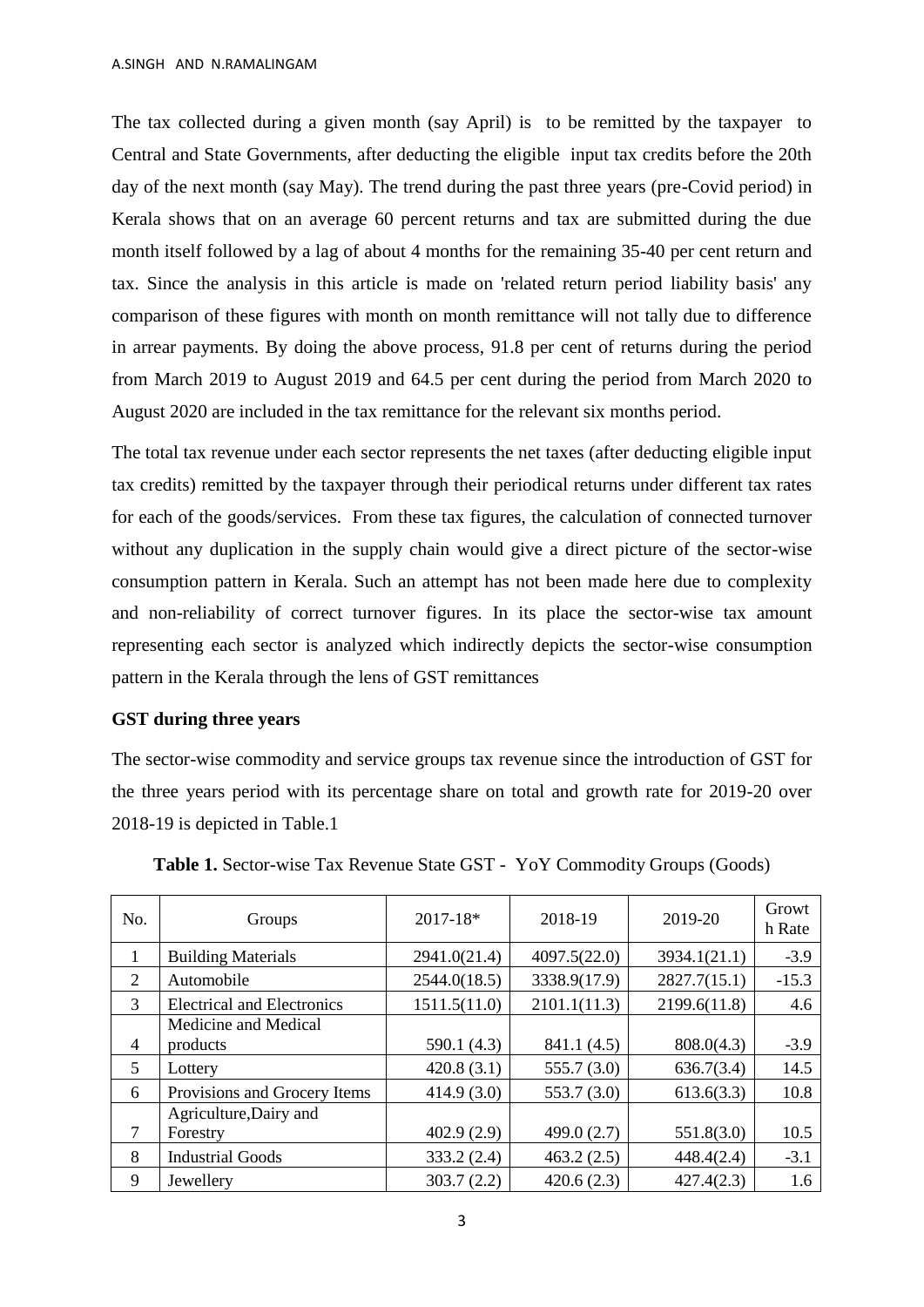The tax collected during a given month (say April) is to be remitted by the taxpayer to Central and State Governments, after deducting the eligible input tax credits before the 20th day of the next month (say May). The trend during the past three years (pre-Covid period) in Kerala shows that on an average 60 percent returns and tax are submitted during the due month itself followed by a lag of about 4 months for the remaining 35-40 per cent return and tax. Since the analysis in this article is made on 'related return period liability basis' any comparison of these figures with month on month remittance will not tally due to difference in arrear payments. By doing the above process, 91.8 per cent of returns during the period from March 2019 to August 2019 and 64.5 per cent during the period from March 2020 to August 2020 are included in the tax remittance for the relevant six months period.

The total tax revenue under each sector represents the net taxes (after deducting eligible input tax credits) remitted by the taxpayer through their periodical returns under different tax rates for each of the goods/services. From these tax figures, the calculation of connected turnover without any duplication in the supply chain would give a direct picture of the sector-wise consumption pattern in Kerala. Such an attempt has not been made here due to complexity and non-reliability of correct turnover figures. In its place the sector-wise tax amount representing each sector is analyzed which indirectly depicts the sector-wise consumption pattern in the Kerala through the lens of GST remittances

### **GST during three years**

The sector-wise commodity and service groups tax revenue since the introduction of GST for the three years period with its percentage share on total and growth rate for 2019-20 over 2018-19 is depicted in Table.1

| No.            | Groups                             | 2017-18*     | 2018-19       | 2019-20      | Growt<br>h Rate |
|----------------|------------------------------------|--------------|---------------|--------------|-----------------|
| 1              | <b>Building Materials</b>          | 2941.0(21.4) | 4097.5(22.0)  | 3934.1(21.1) | $-3.9$          |
| 2              | Automobile                         | 2544.0(18.5) | 3338.9(17.9)  | 2827.7(15.1) | $-15.3$         |
| 3              | <b>Electrical and Electronics</b>  | 1511.5(11.0) | 2101.1(11.3)  | 2199.6(11.8) | 4.6             |
| $\overline{4}$ | Medicine and Medical<br>products   | 590.1 (4.3)  | 841.1 (4.5)   | 808.0(4.3)   | $-3.9$          |
| 5              | Lottery                            | 420.8(3.1)   | 555.7(3.0)    | 636.7(3.4)   | 14.5            |
| 6              | Provisions and Grocery Items       | 414.9(3.0)   | 553.7(3.0)    | 613.6(3.3)   | 10.8            |
| 7              | Agriculture, Dairy and<br>Forestry | 402.9(2.9)   | 499.0 $(2.7)$ | 551.8(3.0)   | 10.5            |
| 8              | <b>Industrial Goods</b>            | 333.2(2.4)   | 463.2(2.5)    | 448.4(2.4)   | $-3.1$          |
| 9              | Jewellery                          | 303.7(2.2)   | 420.6(2.3)    | 427.4(2.3)   | 1.6             |

**Table 1.** Sector-wise Tax Revenue State GST - YoY Commodity Groups (Goods)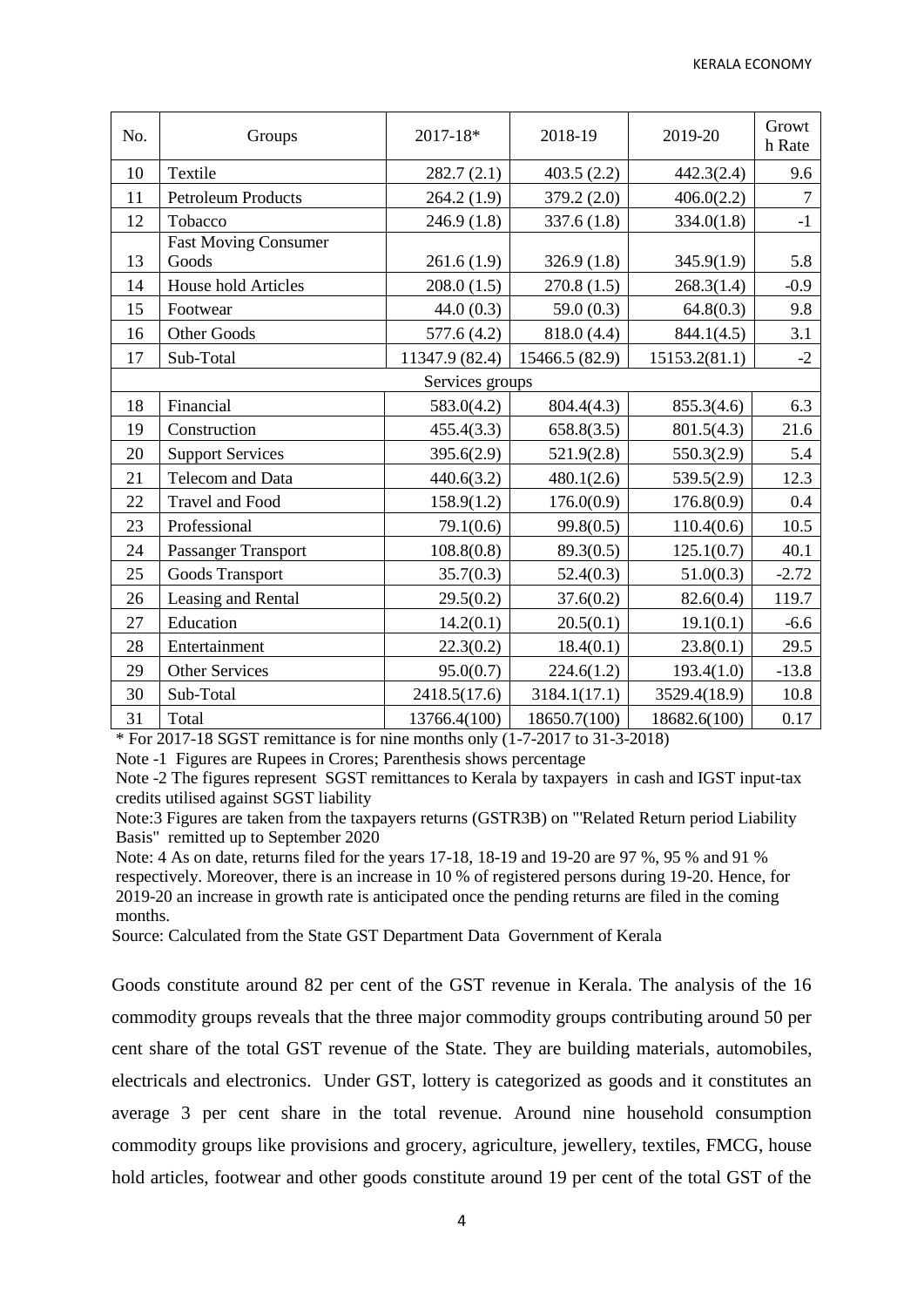| No. | Groups                               | 2017-18*        | 2018-19        | 2019-20       | Growt<br>h Rate |
|-----|--------------------------------------|-----------------|----------------|---------------|-----------------|
| 10  | Textile                              | 282.7(2.1)      | 403.5(2.2)     | 442.3(2.4)    | 9.6             |
| 11  | <b>Petroleum Products</b>            | 264.2(1.9)      | 379.2 (2.0)    | 406.0(2.2)    | 7               |
| 12  | Tobacco                              | 246.9(1.8)      | 337.6 (1.8)    | 334.0(1.8)    | $-1$            |
| 13  | <b>Fast Moving Consumer</b><br>Goods | 261.6(1.9)      | 326.9(1.8)     | 345.9(1.9)    | 5.8             |
| 14  | <b>House hold Articles</b>           | 208.0(1.5)      | 270.8(1.5)     | 268.3(1.4)    | $-0.9$          |
| 15  | Footwear                             | 44.0(0.3)       | 59.0 $(0.3)$   | 64.8(0.3)     | 9.8             |
| 16  | <b>Other Goods</b>                   | 577.6(4.2)      | 818.0 (4.4)    | 844.1(4.5)    | 3.1             |
| 17  | Sub-Total                            | 11347.9 (82.4)  | 15466.5 (82.9) | 15153.2(81.1) | $-2$            |
|     |                                      | Services groups |                |               |                 |
| 18  | Financial                            | 583.0(4.2)      | 804.4(4.3)     | 855.3(4.6)    | 6.3             |
| 19  | Construction                         | 455.4(3.3)      | 658.8(3.5)     | 801.5(4.3)    | 21.6            |
| 20  | <b>Support Services</b>              | 395.6(2.9)      | 521.9(2.8)     | 550.3(2.9)    | 5.4             |
| 21  | Telecom and Data                     | 440.6(3.2)      | 480.1(2.6)     | 539.5(2.9)    | 12.3            |
| 22  | <b>Travel and Food</b>               | 158.9(1.2)      | 176.0(0.9)     | 176.8(0.9)    | 0.4             |
| 23  | Professional                         | 79.1(0.6)       | 99.8(0.5)      | 110.4(0.6)    | 10.5            |
| 24  | Passanger Transport                  | 108.8(0.8)      | 89.3(0.5)      | 125.1(0.7)    | 40.1            |
| 25  | Goods Transport                      | 35.7(0.3)       | 52.4(0.3)      | 51.0(0.3)     | $-2.72$         |
| 26  | Leasing and Rental                   | 29.5(0.2)       | 37.6(0.2)      | 82.6(0.4)     | 119.7           |
| 27  | Education                            | 14.2(0.1)       | 20.5(0.1)      | 19.1(0.1)     | $-6.6$          |
| 28  | Entertainment                        | 22.3(0.2)       | 18.4(0.1)      | 23.8(0.1)     | 29.5            |
| 29  | <b>Other Services</b>                | 95.0(0.7)       | 224.6(1.2)     | 193.4(1.0)    | $-13.8$         |
| 30  | Sub-Total                            | 2418.5(17.6)    | 3184.1(17.1)   | 3529.4(18.9)  | 10.8            |
| 31  | Total                                | 13766.4(100)    | 18650.7(100)   | 18682.6(100)  | 0.17            |

\* For 2017-18 SGST remittance is for nine months only (1-7-2017 to 31-3-2018)

Note -1 Figures are Rupees in Crores; Parenthesis shows percentage

Note -2 The figures represent SGST remittances to Kerala by taxpayers in cash and IGST input-tax credits utilised against SGST liability

Note:3 Figures are taken from the taxpayers returns (GSTR3B) on "'Related Return period Liability Basis" remitted up to September 2020

Note: 4 As on date, returns filed for the years 17-18, 18-19 and 19-20 are 97 %, 95 % and 91 % respectively. Moreover, there is an increase in 10 % of registered persons during 19-20. Hence, for 2019-20 an increase in growth rate is anticipated once the pending returns are filed in the coming months.

Source: Calculated from the State GST Department Data Government of Kerala

Goods constitute around 82 per cent of the GST revenue in Kerala. The analysis of the 16 commodity groups reveals that the three major commodity groups contributing around 50 per cent share of the total GST revenue of the State. They are building materials, automobiles, electricals and electronics. Under GST, lottery is categorized as goods and it constitutes an average 3 per cent share in the total revenue. Around nine household consumption commodity groups like provisions and grocery, agriculture, jewellery, textiles, FMCG, house hold articles, footwear and other goods constitute around 19 per cent of the total GST of the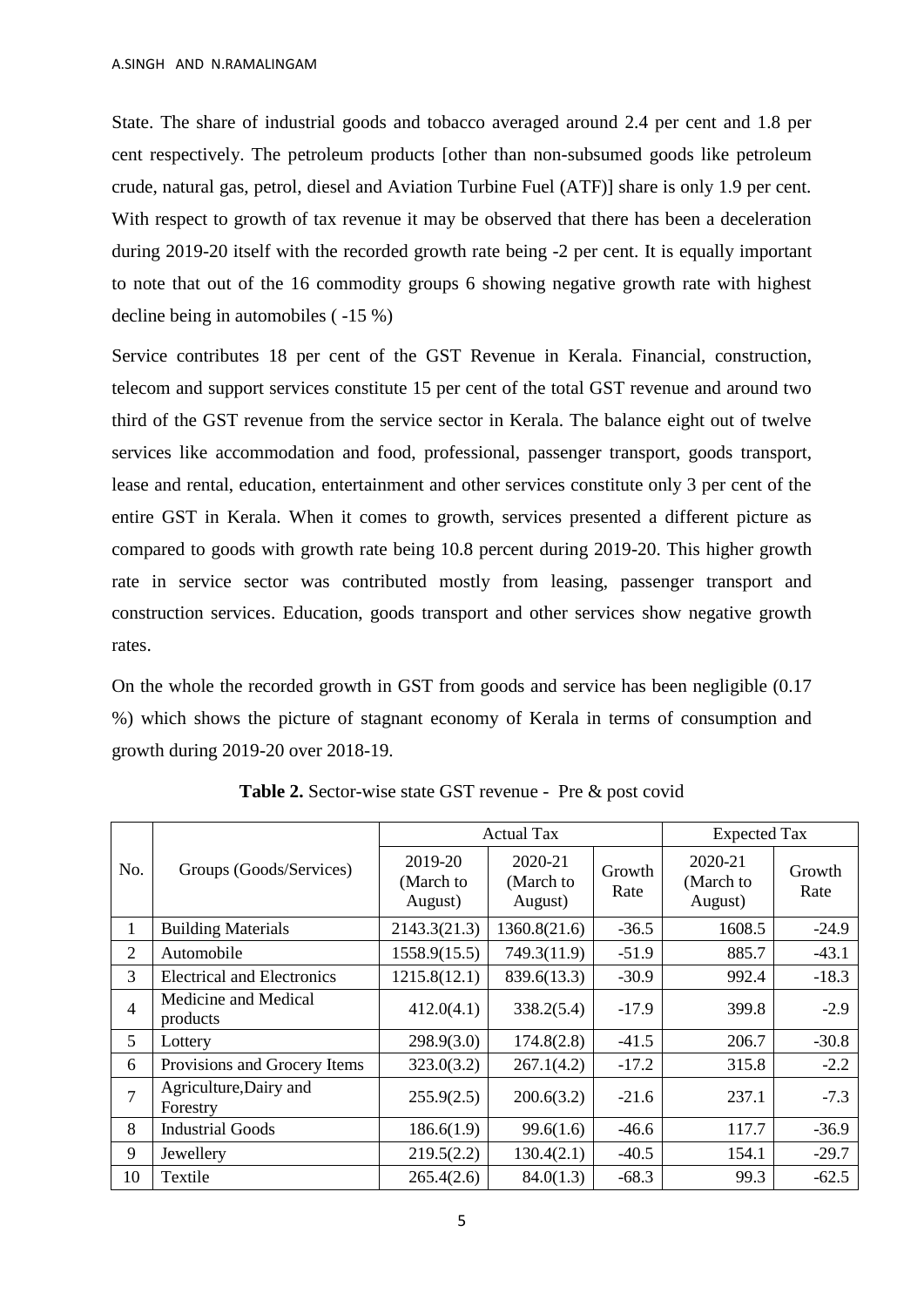State. The share of industrial goods and tobacco averaged around 2.4 per cent and 1.8 per cent respectively. The petroleum products [other than non-subsumed goods like petroleum crude, natural gas, petrol, diesel and Aviation Turbine Fuel (ATF)] share is only 1.9 per cent. With respect to growth of tax revenue it may be observed that there has been a deceleration during 2019-20 itself with the recorded growth rate being -2 per cent. It is equally important to note that out of the 16 commodity groups 6 showing negative growth rate with highest decline being in automobiles ( -15 %)

Service contributes 18 per cent of the GST Revenue in Kerala. Financial, construction, telecom and support services constitute 15 per cent of the total GST revenue and around two third of the GST revenue from the service sector in Kerala. The balance eight out of twelve services like accommodation and food, professional, passenger transport, goods transport, lease and rental, education, entertainment and other services constitute only 3 per cent of the entire GST in Kerala. When it comes to growth, services presented a different picture as compared to goods with growth rate being 10.8 percent during 2019-20. This higher growth rate in service sector was contributed mostly from leasing, passenger transport and construction services. Education, goods transport and other services show negative growth rates.

On the whole the recorded growth in GST from goods and service has been negligible (0.17 %) which shows the picture of stagnant economy of Kerala in terms of consumption and growth during 2019-20 over 2018-19.

|                          |                                    |                                 | <b>Actual Tax</b>               | <b>Expected Tax</b> |                                 |                |
|--------------------------|------------------------------------|---------------------------------|---------------------------------|---------------------|---------------------------------|----------------|
| No.                      | Groups (Goods/Services)            | 2019-20<br>(March to<br>August) | 2020-21<br>(March to<br>August) | Growth<br>Rate      | 2020-21<br>(March to<br>August) | Growth<br>Rate |
| 1                        | <b>Building Materials</b>          | 2143.3(21.3)                    | 1360.8(21.6)                    | $-36.5$             | 1608.5                          | $-24.9$        |
| 2                        | Automobile                         | 1558.9(15.5)                    | 749.3(11.9)                     | $-51.9$             | 885.7                           | $-43.1$        |
| 3                        | <b>Electrical and Electronics</b>  | 1215.8(12.1)                    | 839.6(13.3)                     | $-30.9$             | 992.4                           | $-18.3$        |
| $\overline{\mathcal{A}}$ | Medicine and Medical<br>products   | 412.0(4.1)                      | 338.2(5.4)                      | $-17.9$             | 399.8                           | $-2.9$         |
| 5                        | Lottery                            | 298.9(3.0)                      | 174.8(2.8)                      | $-41.5$             | 206.7                           | $-30.8$        |
| 6                        | Provisions and Grocery Items       | 323.0(3.2)                      | 267.1(4.2)                      | $-17.2$             | 315.8                           | $-2.2$         |
| $\overline{7}$           | Agriculture, Dairy and<br>Forestry | 255.9(2.5)                      | 200.6(3.2)                      | $-21.6$             | 237.1                           | $-7.3$         |
| 8                        | <b>Industrial Goods</b>            | 186.6(1.9)                      | 99.6(1.6)                       | $-46.6$             | 117.7                           | $-36.9$        |
| 9                        | Jewellery                          | 219.5(2.2)                      | 130.4(2.1)                      | $-40.5$             | 154.1                           | $-29.7$        |
| 10                       | Textile                            | 265.4(2.6)                      | 84.0(1.3)                       | $-68.3$             | 99.3                            | $-62.5$        |

**Table 2.** Sector-wise state GST revenue - Pre & post covid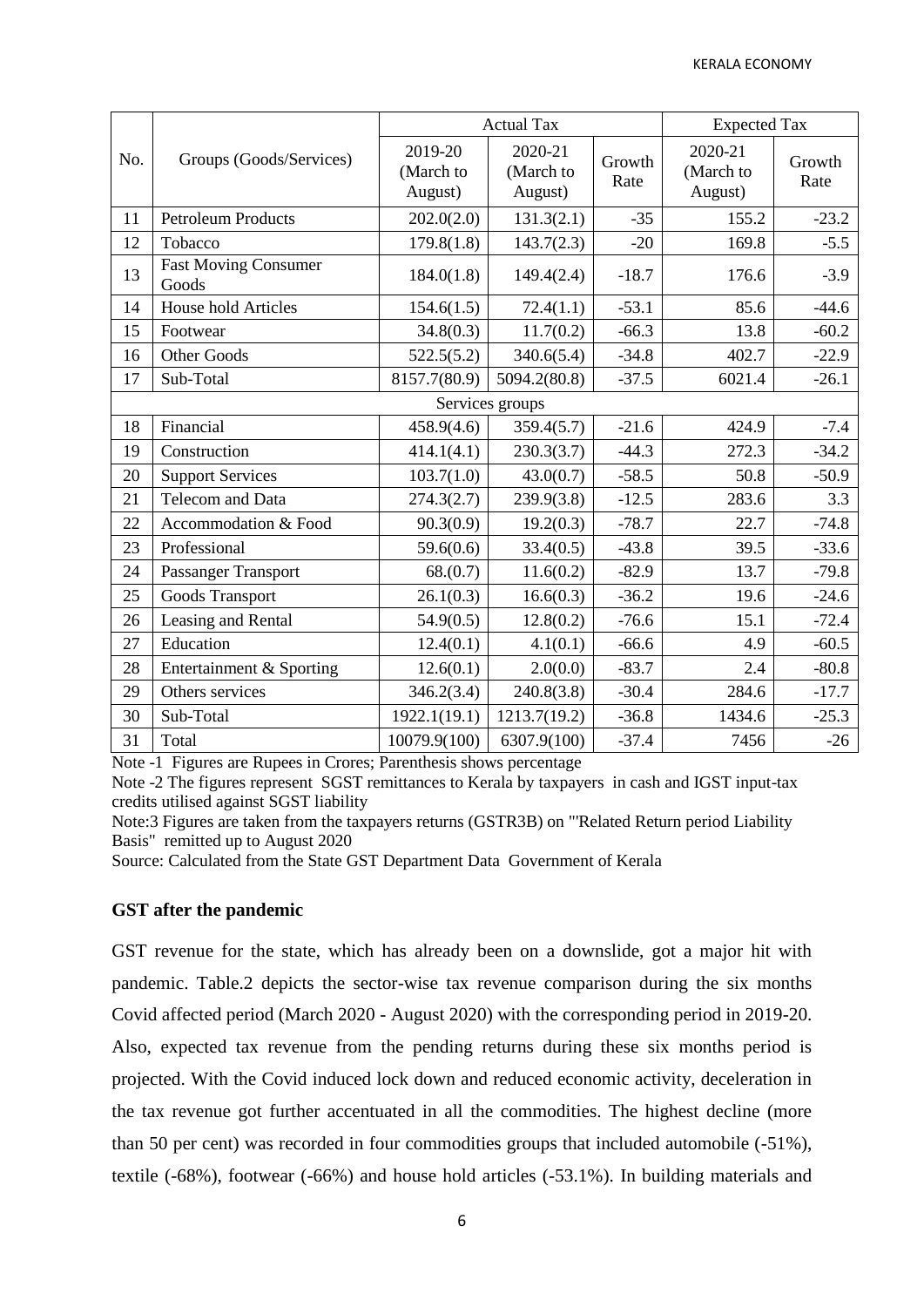|     | Groups (Goods/Services)              | <b>Actual Tax</b>               |                                 |                | <b>Expected Tax</b>             |                |
|-----|--------------------------------------|---------------------------------|---------------------------------|----------------|---------------------------------|----------------|
| No. |                                      | 2019-20<br>(March to<br>August) | 2020-21<br>(March to<br>August) | Growth<br>Rate | 2020-21<br>(March to<br>August) | Growth<br>Rate |
| 11  | <b>Petroleum Products</b>            | 202.0(2.0)                      | 131.3(2.1)                      | $-35$          | 155.2                           | $-23.2$        |
| 12  | Tobacco                              | 179.8(1.8)                      | 143.7(2.3)                      | $-20$          | 169.8                           | $-5.5$         |
| 13  | <b>Fast Moving Consumer</b><br>Goods | 184.0(1.8)                      | 149.4(2.4)                      | $-18.7$        | 176.6                           | $-3.9$         |
| 14  | House hold Articles                  | 154.6(1.5)                      | 72.4(1.1)                       | $-53.1$        | 85.6                            | $-44.6$        |
| 15  | Footwear                             | 34.8(0.3)                       | 11.7(0.2)                       | $-66.3$        | 13.8                            | $-60.2$        |
| 16  | Other Goods                          | 522.5(5.2)                      | 340.6(5.4)                      | $-34.8$        | 402.7                           | $-22.9$        |
| 17  | Sub-Total                            | 8157.7(80.9)                    | 5094.2(80.8)                    | $-37.5$        | 6021.4                          | $-26.1$        |
|     |                                      |                                 | Services groups                 |                |                                 |                |
| 18  | Financial                            | 458.9(4.6)                      | 359.4(5.7)                      | $-21.6$        | 424.9                           | $-7.4$         |
| 19  | Construction                         | 414.1(4.1)                      | 230.3(3.7)                      | $-44.3$        | 272.3                           | $-34.2$        |
| 20  | <b>Support Services</b>              | 103.7(1.0)                      | 43.0(0.7)                       | $-58.5$        | 50.8                            | $-50.9$        |
| 21  | Telecom and Data                     | 274.3(2.7)                      | 239.9(3.8)                      | $-12.5$        | 283.6                           | 3.3            |
| 22  | Accommodation & Food                 | 90.3(0.9)                       | 19.2(0.3)                       | $-78.7$        | 22.7                            | $-74.8$        |
| 23  | Professional                         | 59.6(0.6)                       | 33.4(0.5)                       | $-43.8$        | 39.5                            | $-33.6$        |
| 24  | <b>Passanger Transport</b>           | 68(0.7)                         | 11.6(0.2)                       | $-82.9$        | 13.7                            | $-79.8$        |
| 25  | Goods Transport                      | 26.1(0.3)                       | 16.6(0.3)                       | $-36.2$        | 19.6                            | $-24.6$        |
| 26  | Leasing and Rental                   | 54.9(0.5)                       | 12.8(0.2)                       | $-76.6$        | 15.1                            | $-72.4$        |
| 27  | Education                            | 12.4(0.1)                       | 4.1(0.1)                        | $-66.6$        | 4.9                             | $-60.5$        |
| 28  | Entertainment & Sporting             | 12.6(0.1)                       | 2.0(0.0)                        | $-83.7$        | 2.4                             | $-80.8$        |
| 29  | Others services                      | 346.2(3.4)                      | 240.8(3.8)                      | $-30.4$        | 284.6                           | $-17.7$        |
| 30  | Sub-Total                            | 1922.1(19.1)                    | 1213.7(19.2)                    | $-36.8$        | 1434.6                          | $-25.3$        |
| 31  | Total                                | 10079.9(100)                    | 6307.9(100)                     | $-37.4$        | 7456                            | $-26$          |

Note -1 Figures are Rupees in Crores; Parenthesis shows percentage

Note -2 The figures represent SGST remittances to Kerala by taxpayers in cash and IGST input-tax credits utilised against SGST liability

Note:3 Figures are taken from the taxpayers returns (GSTR3B) on "'Related Return period Liability Basis" remitted up to August 2020

Source: Calculated from the State GST Department Data Government of Kerala

### **GST after the pandemic**

GST revenue for the state, which has already been on a downslide, got a major hit with pandemic. Table.2 depicts the sector-wise tax revenue comparison during the six months Covid affected period (March 2020 - August 2020) with the corresponding period in 2019-20. Also, expected tax revenue from the pending returns during these six months period is projected. With the Covid induced lock down and reduced economic activity, deceleration in the tax revenue got further accentuated in all the commodities. The highest decline (more than 50 per cent) was recorded in four commodities groups that included automobile (-51%), textile (-68%), footwear (-66%) and house hold articles (-53.1%). In building materials and